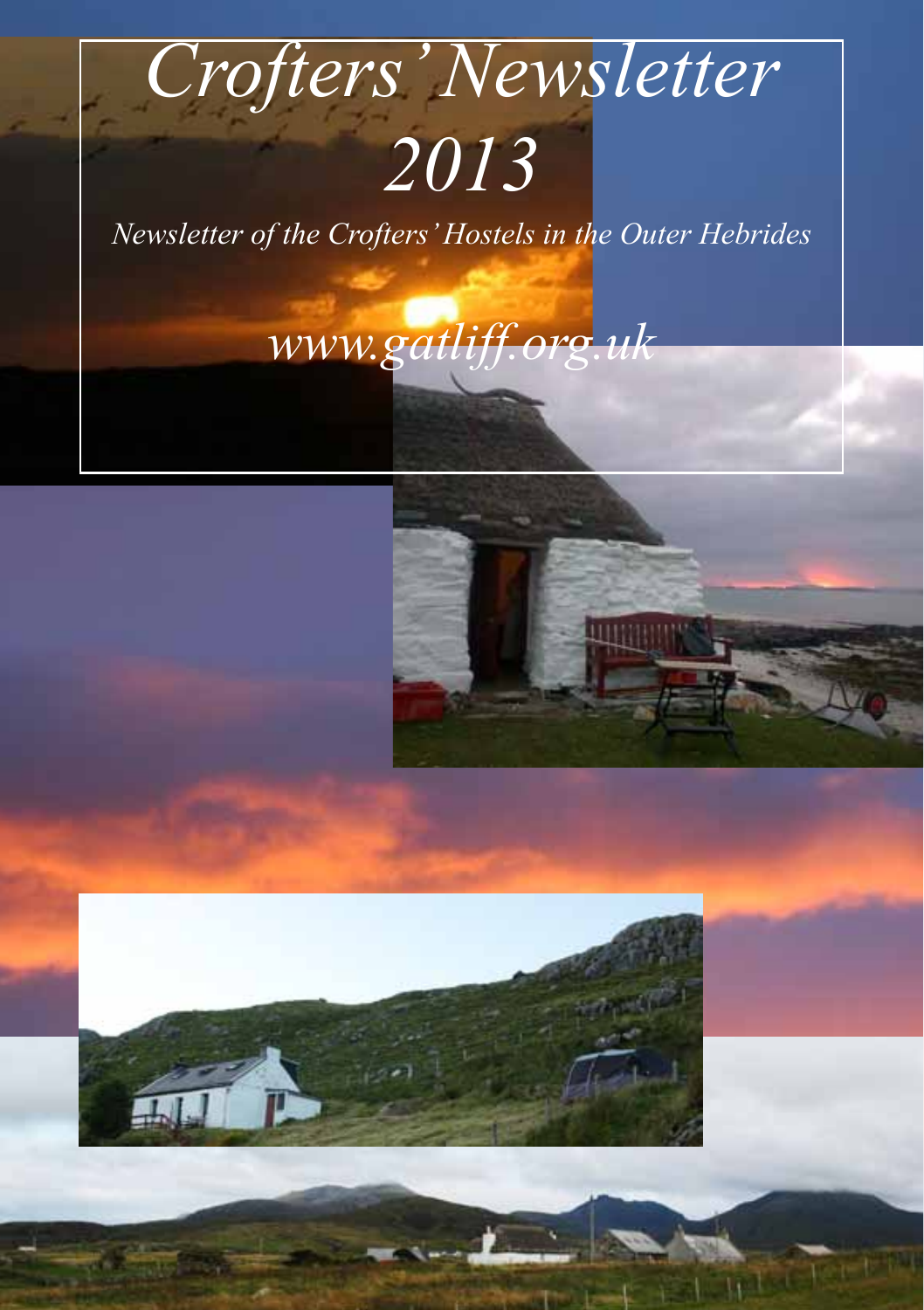# *Crofters' Newsletter 2013*

*Newsletter of the Crofters' Hostels in the Outer Hebrides*

*www.gatliff.org.uk*



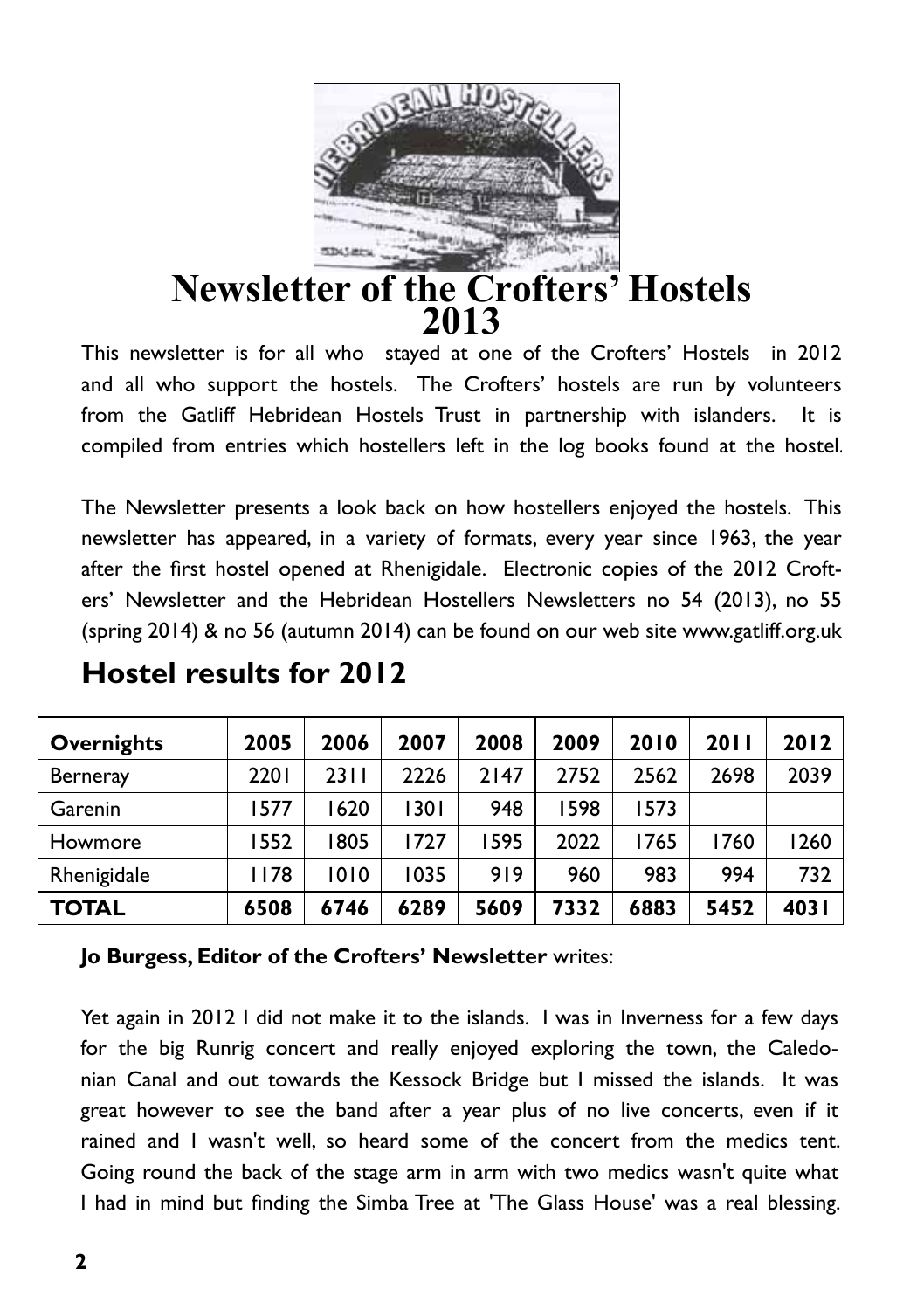

## **Newsletter of the Crofters' Hostels 2013**

This newsletter is for all who stayed at one of the Crofters' Hostels in 2012 and all who support the hostels. The Crofters' hostels are run by volunteers from the Gatliff Hebridean Hostels Trust in partnership with islanders. It is compiled from entries which hostellers left in the log books found at the hostel.

The Newsletter presents a look back on how hostellers enjoyed the hostels. This newsletter has appeared, in a variety of formats, every year since 1963, the year after the first hostel opened at Rhenigidale. Electronic copies of the 2012 Crofters' Newsletter and the Hebridean Hostellers Newsletters no 54 (2013), no 55 (spring 2014) & no 56 (autumn 2014) can be found on our web site www.gatliff.org.uk

| Overnights      | 2005 | 2006 | 2007 | 2008 | 2009 | 2010 | 2011 | 2012  |
|-----------------|------|------|------|------|------|------|------|-------|
| <b>Berneray</b> | 2201 | 2311 | 2226 | 2147 | 2752 | 2562 | 2698 | 2039  |
| Garenin         | 1577 | 1620 | 1301 | 948  | 1598 | 1573 |      |       |
| Howmore         | 1552 | 1805 | 1727 | 595  | 2022 | 1765 | 1760 | 1260  |
| Rhenigidale     | 1178 | 1010 | 1035 | 919  | 960  | 983  | 994  | 732   |
| TOTAL           | 6508 | 6746 | 6289 | 5609 | 7332 | 6883 | 5452 | 403 I |

## **Hostel results for 2012**

#### **Jo Burgess, Editor of the Crofters' Newsletter** writes:

Yet again in 2012 I did not make it to the islands. I was in Inverness for a few days for the big Runrig concert and really enjoyed exploring the town, the Caledonian Canal and out towards the Kessock Bridge but I missed the islands. It was great however to see the band after a year plus of no live concerts, even if it rained and I wasn't well, so heard some of the concert from the medics tent. Going round the back of the stage arm in arm with two medics wasn't quite what I had in mind but finding the Simba Tree at 'The Glass House' was a real blessing.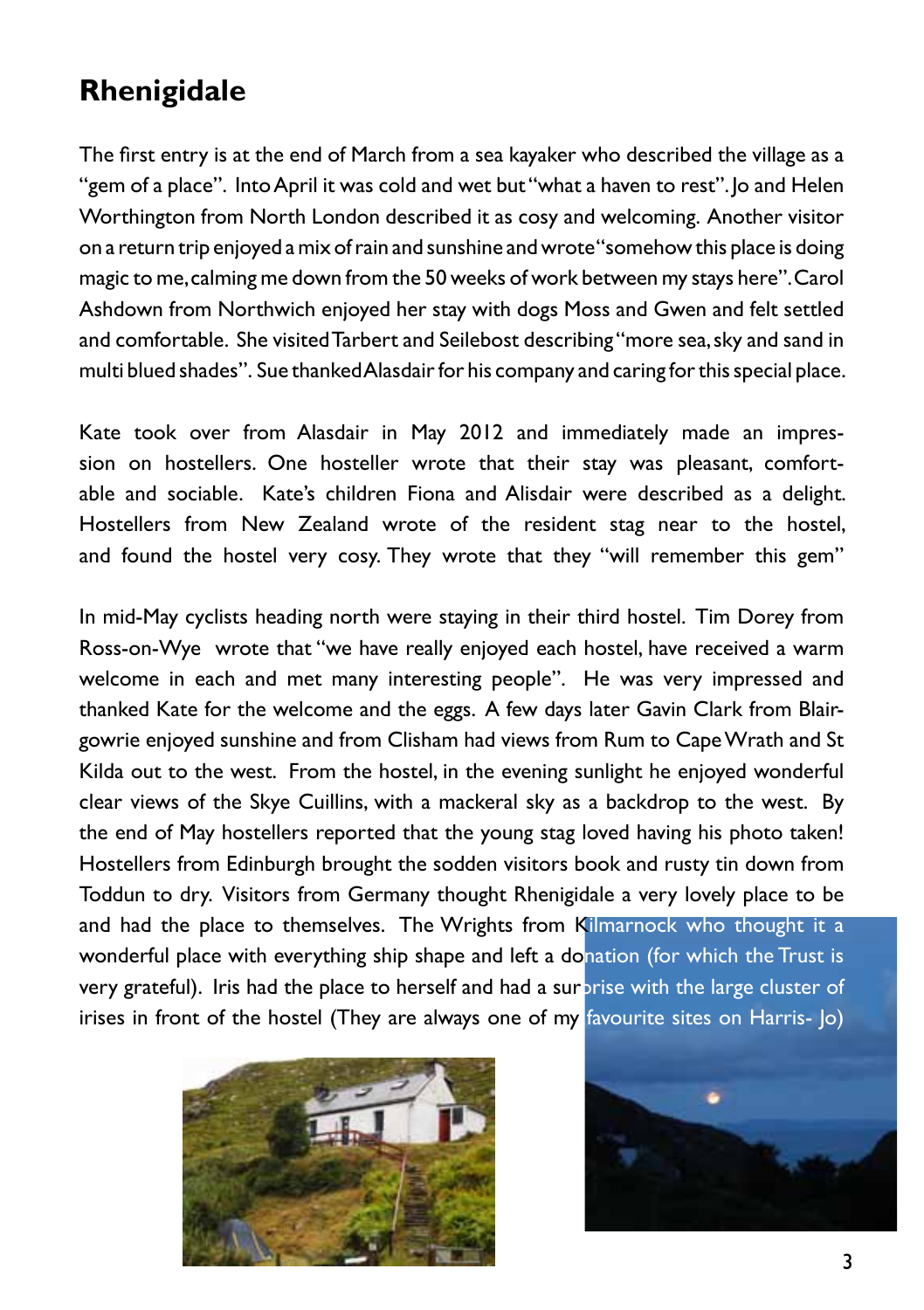# **Rhenigidale**

The first entry is at the end of March from a sea kayaker who described the village as a "gem of a place". Into April it was cold and wet but "what a haven to rest". Jo and Helen Worthington from North London described it as cosy and welcoming. Another visitor on a return trip enjoyed a mix of rain and sunshine and wrote "somehow this place is doing magic to me, calming me down from the 50 weeks of work between my stays here". Carol Ashdown from Northwich enjoyed her stay with dogs Moss and Gwen and felt settled and comfortable. She visited Tarbert and Seilebost describing "more sea, sky and sand in multi blued shades". Sue thanked Alasdair for his company and caring for this special place.

Kate took over from Alasdair in May 2012 and immediately made an impression on hostellers. One hosteller wrote that their stay was pleasant, comfortable and sociable. Kate's children Fiona and Alisdair were described as a delight. Hostellers from New Zealand wrote of the resident stag near to the hostel, and found the hostel very cosy. They wrote that they "will remember this gem"

In mid-May cyclists heading north were staying in their third hostel. Tim Dorey from Ross-on-Wye wrote that "we have really enjoyed each hostel, have received a warm welcome in each and met many interesting people". He was very impressed and thanked Kate for the welcome and the eggs. A few days later Gavin Clark from Blairgowrie enjoyed sunshine and from Clisham had views from Rum to Cape Wrath and St Kilda out to the west. From the hostel, in the evening sunlight he enjoyed wonderful clear views of the Skye Cuillins, with a mackeral sky as a backdrop to the west. By the end of May hostellers reported that the young stag loved having his photo taken! Hostellers from Edinburgh brought the sodden visitors book and rusty tin down from Toddun to dry. Visitors from Germany thought Rhenigidale a very lovely place to be and had the place to themselves. The Wrights from Kilmarnock who thought it a wonderful place with everything ship shape and left a donation (for which the Trust is very grateful). Iris had the place to herself and had a surprise with the large cluster of irises in front of the hostel (They are always one of my favourite sites on Harris- Jo)



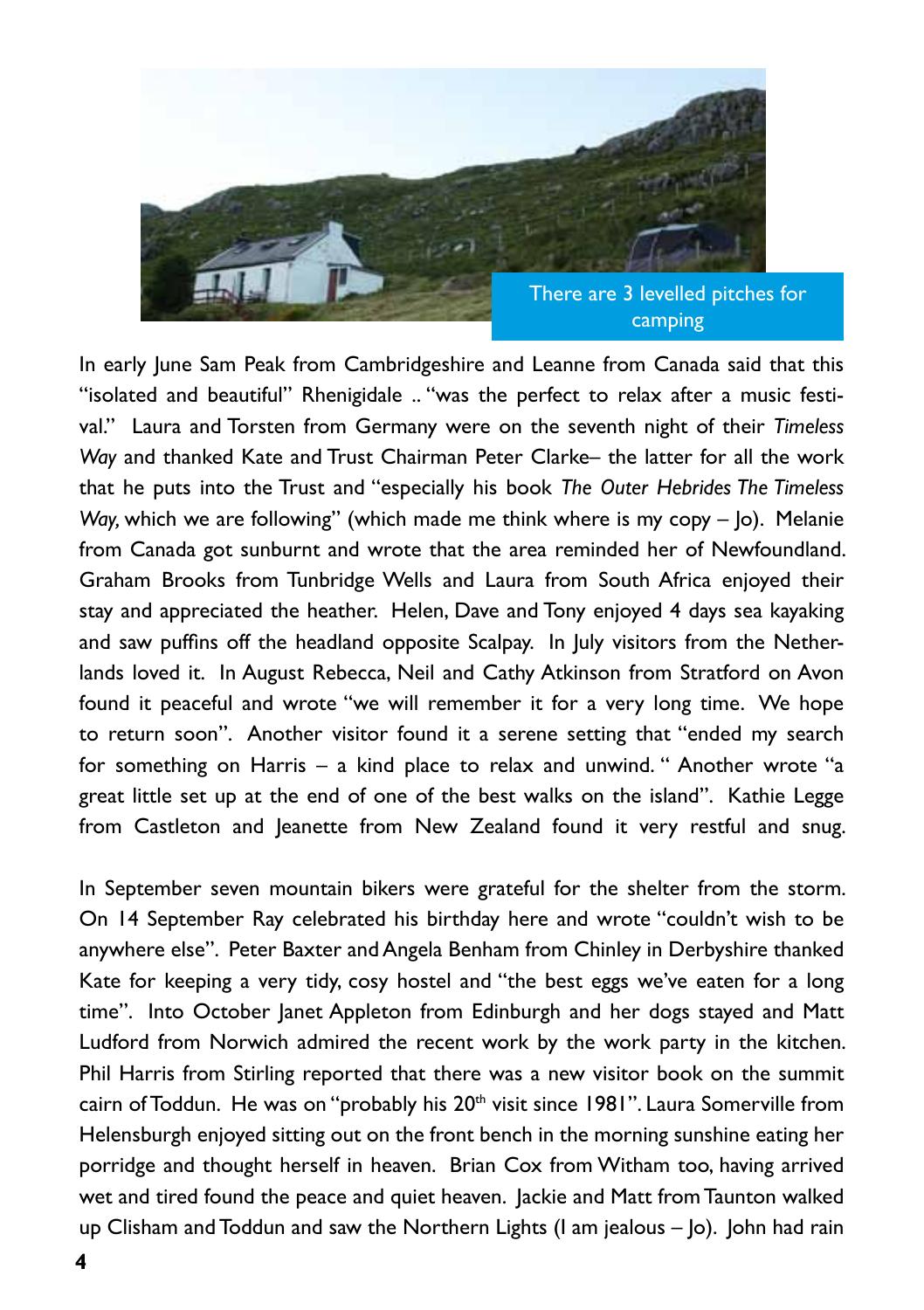

In early June Sam Peak from Cambridgeshire and Leanne from Canada said that this "isolated and beautiful" Rhenigidale .. "was the perfect to relax after a music festival." Laura and Torsten from Germany were on the seventh night of their *Timeless Way* and thanked Kate and Trust Chairman Peter Clarke– the latter for all the work that he puts into the Trust and "especially his book *The Outer Hebrides The Timeless Way,* which we are following" (which made me think where is my copy – Jo). Melanie from Canada got sunburnt and wrote that the area reminded her of Newfoundland. Graham Brooks from Tunbridge Wells and Laura from South Africa enjoyed their stay and appreciated the heather. Helen, Dave and Tony enjoyed 4 days sea kayaking and saw puffins off the headland opposite Scalpay. In July visitors from the Netherlands loved it. In August Rebecca, Neil and Cathy Atkinson from Stratford on Avon found it peaceful and wrote "we will remember it for a very long time. We hope to return soon". Another visitor found it a serene setting that "ended my search for something on Harris – a kind place to relax and unwind. " Another wrote "a great little set up at the end of one of the best walks on the island". Kathie Legge from Castleton and Jeanette from New Zealand found it very restful and snug.

In September seven mountain bikers were grateful for the shelter from the storm. On 14 September Ray celebrated his birthday here and wrote "couldn't wish to be anywhere else". Peter Baxter and Angela Benham from Chinley in Derbyshire thanked Kate for keeping a very tidy, cosy hostel and "the best eggs we've eaten for a long time". Into October Janet Appleton from Edinburgh and her dogs stayed and Matt Ludford from Norwich admired the recent work by the work party in the kitchen. Phil Harris from Stirling reported that there was a new visitor book on the summit cairn of Toddun. He was on "probably his 20<sup>th</sup> visit since 1981". Laura Somerville from Helensburgh enjoyed sitting out on the front bench in the morning sunshine eating her porridge and thought herself in heaven. Brian Cox from Witham too, having arrived wet and tired found the peace and quiet heaven. Jackie and Matt from Taunton walked up Clisham and Toddun and saw the Northern Lights (I am jealous – Jo). John had rain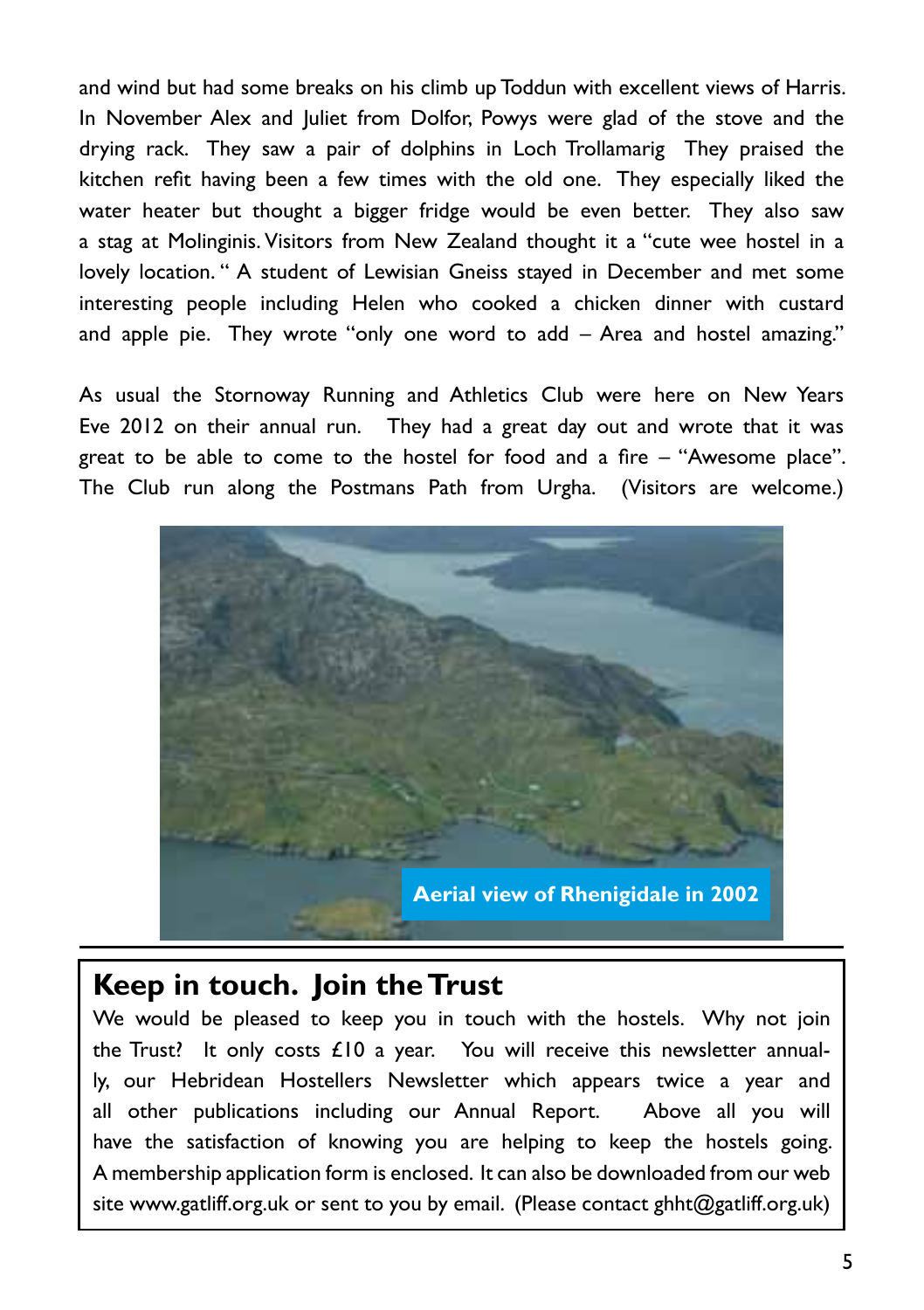and wind but had some breaks on his climb up Toddun with excellent views of Harris. In November Alex and Juliet from Dolfor, Powys were glad of the stove and the drying rack. They saw a pair of dolphins in Loch Trollamarig They praised the kitchen refit having been a few times with the old one. They especially liked the water heater but thought a bigger fridge would be even better. They also saw a stag at Molinginis. Visitors from New Zealand thought it a "cute wee hostel in a lovely location. " A student of Lewisian Gneiss stayed in December and met some interesting people including Helen who cooked a chicken dinner with custard and apple pie. They wrote "only one word to add – Area and hostel amazing."

As usual the Stornoway Running and Athletics Club were here on New Years Eve 2012 on their annual run. They had a great day out and wrote that it was great to be able to come to the hostel for food and a fire – "Awesome place". The Club run along the Postmans Path from Urgha. (Visitors are welcome.)



## **Keep in touch. Join the Trust**

We would be pleased to keep you in touch with the hostels. Why not join the Trust? It only costs £10 a year. You will receive this newsletter annually, our Hebridean Hostellers Newsletter which appears twice a year and all other publications including our Annual Report. Above all you will have the satisfaction of knowing you are helping to keep the hostels going. A membership application form is enclosed. It can also be downloaded from our web site www.gatliff.org.uk or sent to you by email. (Please contact ghht@gatliff.org.uk)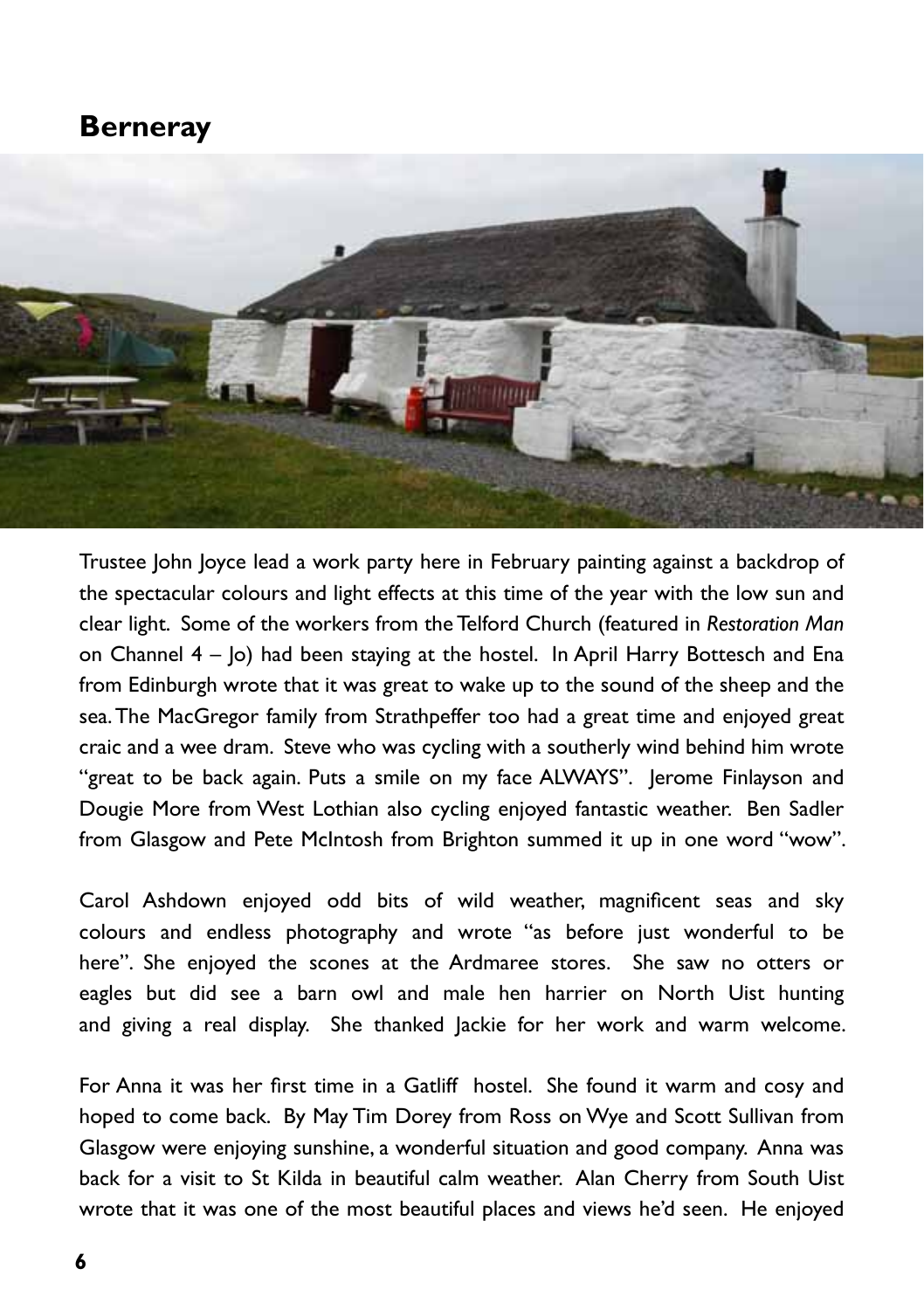#### **Berneray**



Trustee John Joyce lead a work party here in February painting against a backdrop of the spectacular colours and light effects at this time of the year with the low sun and clear light. Some of the workers from the Telford Church (featured in *Restoration Man* on Channel  $4 - |o|$  had been staying at the hostel. In April Harry Bottesch and Ena from Edinburgh wrote that it was great to wake up to the sound of the sheep and the sea. The MacGregor family from Strathpeffer too had a great time and enjoyed great craic and a wee dram. Steve who was cycling with a southerly wind behind him wrote "great to be back again. Puts a smile on my face ALWAYS". Jerome Finlayson and Dougie More from West Lothian also cycling enjoyed fantastic weather. Ben Sadler from Glasgow and Pete McIntosh from Brighton summed it up in one word "wow".

Carol Ashdown enjoyed odd bits of wild weather, magnificent seas and sky colours and endless photography and wrote "as before just wonderful to be here". She enjoyed the scones at the Ardmaree stores. She saw no otters or eagles but did see a barn owl and male hen harrier on North Uist hunting and giving a real display. She thanked Jackie for her work and warm welcome.

For Anna it was her first time in a Gatliff hostel. She found it warm and cosy and hoped to come back. By May Tim Dorey from Ross on Wye and Scott Sullivan from Glasgow were enjoying sunshine, a wonderful situation and good company. Anna was back for a visit to St Kilda in beautiful calm weather. Alan Cherry from South Uist wrote that it was one of the most beautiful places and views he'd seen. He enjoyed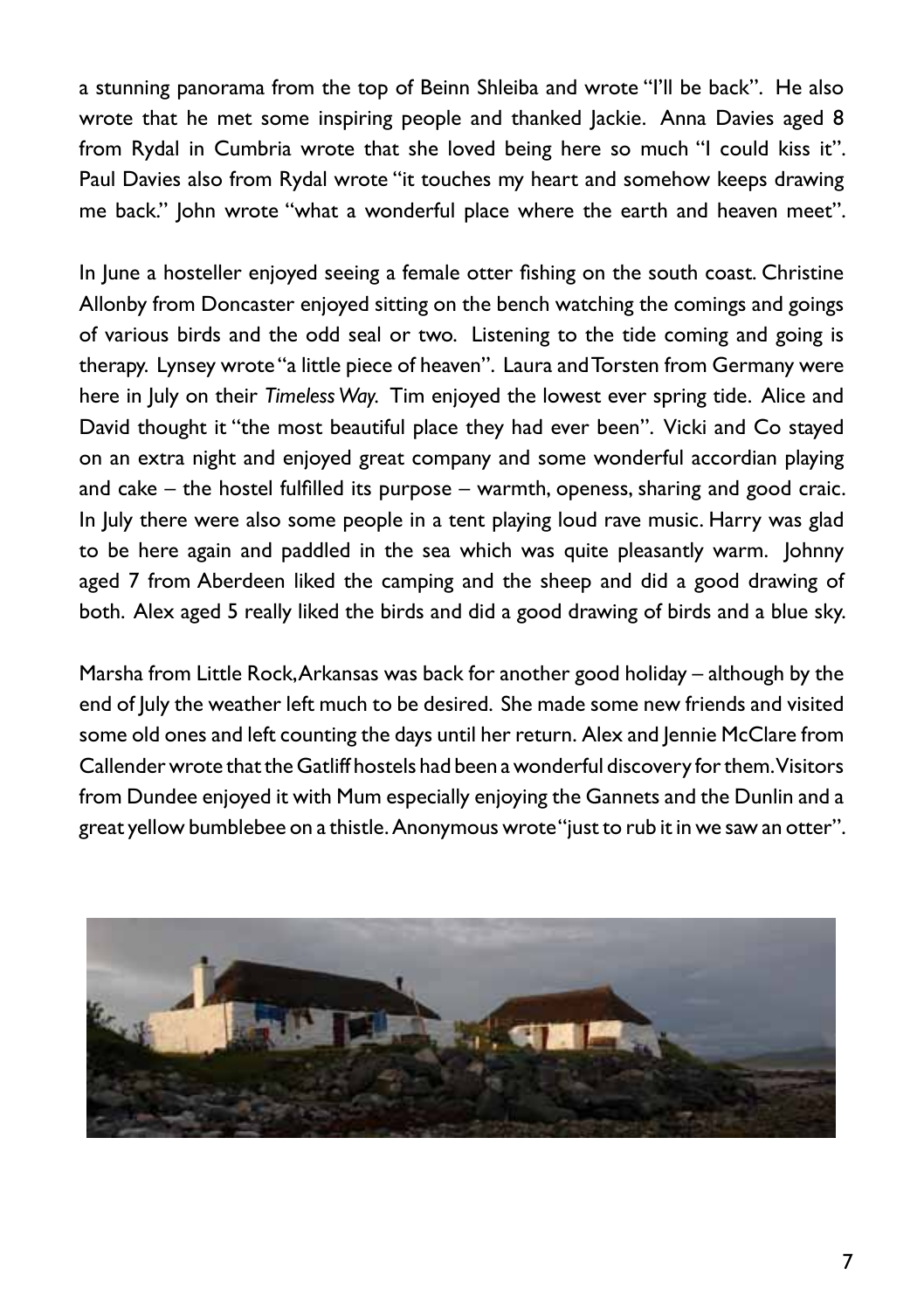a stunning panorama from the top of Beinn Shleiba and wrote "I'll be back". He also wrote that he met some inspiring people and thanked Jackie. Anna Davies aged 8 from Rydal in Cumbria wrote that she loved being here so much "I could kiss it". Paul Davies also from Rydal wrote "it touches my heart and somehow keeps drawing me back." John wrote "what a wonderful place where the earth and heaven meet".

In June a hosteller enjoyed seeing a female otter fishing on the south coast. Christine Allonby from Doncaster enjoyed sitting on the bench watching the comings and goings of various birds and the odd seal or two. Listening to the tide coming and going is therapy. Lynsey wrote "a little piece of heaven". Laura and Torsten from Germany were here in July on their *Timeless Way.* Tim enjoyed the lowest ever spring tide. Alice and David thought it "the most beautiful place they had ever been". Vicki and Co stayed on an extra night and enjoyed great company and some wonderful accordian playing and cake – the hostel fulfilled its purpose – warmth, openess, sharing and good craic. In July there were also some people in a tent playing loud rave music. Harry was glad to be here again and paddled in the sea which was quite pleasantly warm. Johnny aged 7 from Aberdeen liked the camping and the sheep and did a good drawing of both. Alex aged 5 really liked the birds and did a good drawing of birds and a blue sky.

Marsha from Little Rock, Arkansas was back for another good holiday – although by the end of July the weather left much to be desired. She made some new friends and visited some old ones and left counting the days until her return. Alex and Jennie McClare from Callender wrote that the Gatliff hostels had been a wonderful discovery for them. Visitors from Dundee enjoyed it with Mum especially enjoying the Gannets and the Dunlin and a great yellow bumblebee on a thistle. Anonymous wrote "just to rub it in we saw an otter".

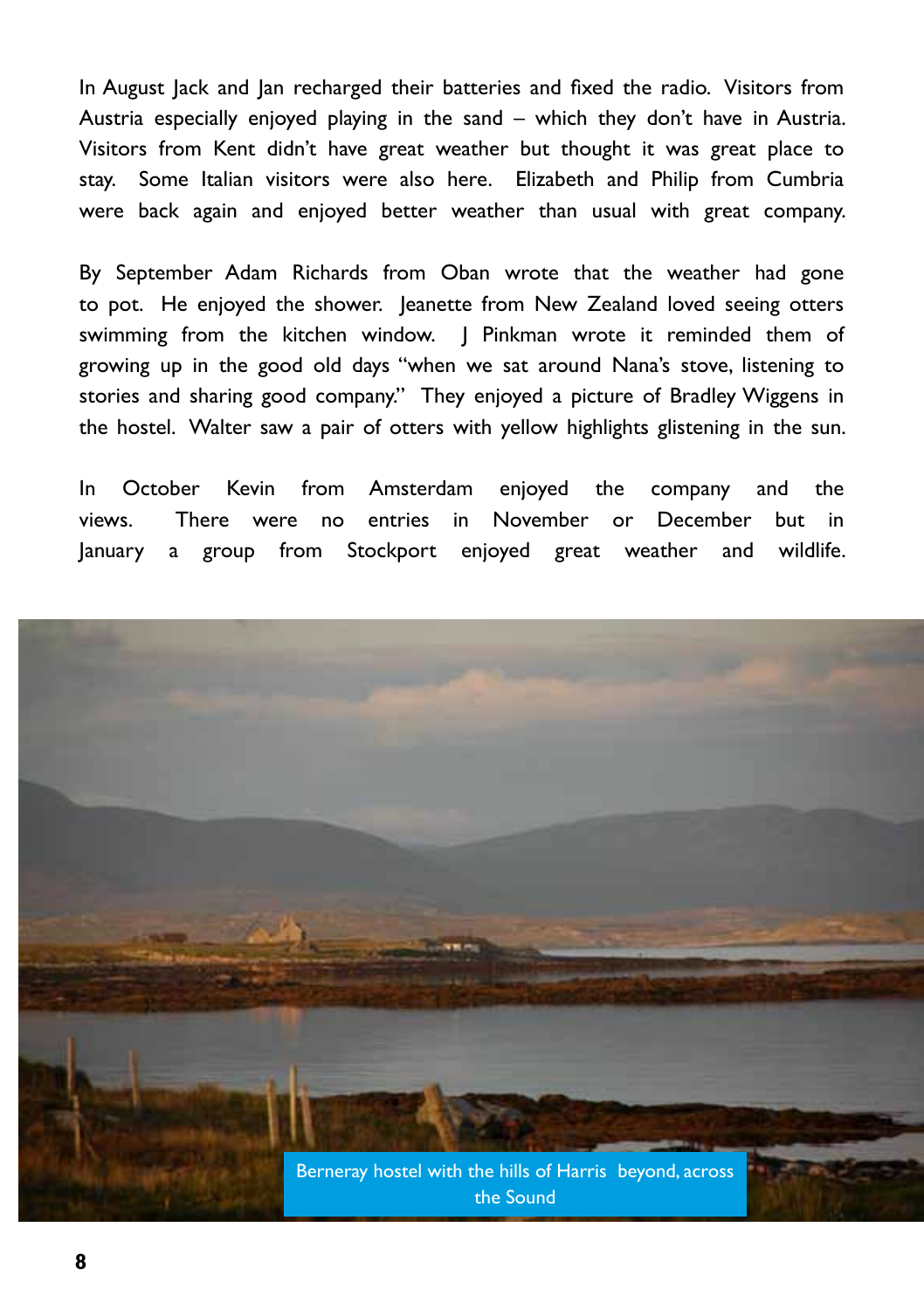In August Jack and Jan recharged their batteries and fixed the radio. Visitors from Austria especially enjoyed playing in the sand – which they don't have in Austria. Visitors from Kent didn't have great weather but thought it was great place to stay. Some Italian visitors were also here. Elizabeth and Philip from Cumbria were back again and enjoyed better weather than usual with great company.

By September Adam Richards from Oban wrote that the weather had gone to pot. He enjoyed the shower. Jeanette from New Zealand loved seeing otters swimming from the kitchen window. J Pinkman wrote it reminded them of growing up in the good old days "when we sat around Nana's stove, listening to stories and sharing good company." They enjoyed a picture of Bradley Wiggens in the hostel. Walter saw a pair of otters with yellow highlights glistening in the sun.

In October Kevin from Amsterdam enjoyed the company and the views. There were no entries in November or December but in January a group from Stockport enjoyed great weather and wildlife.

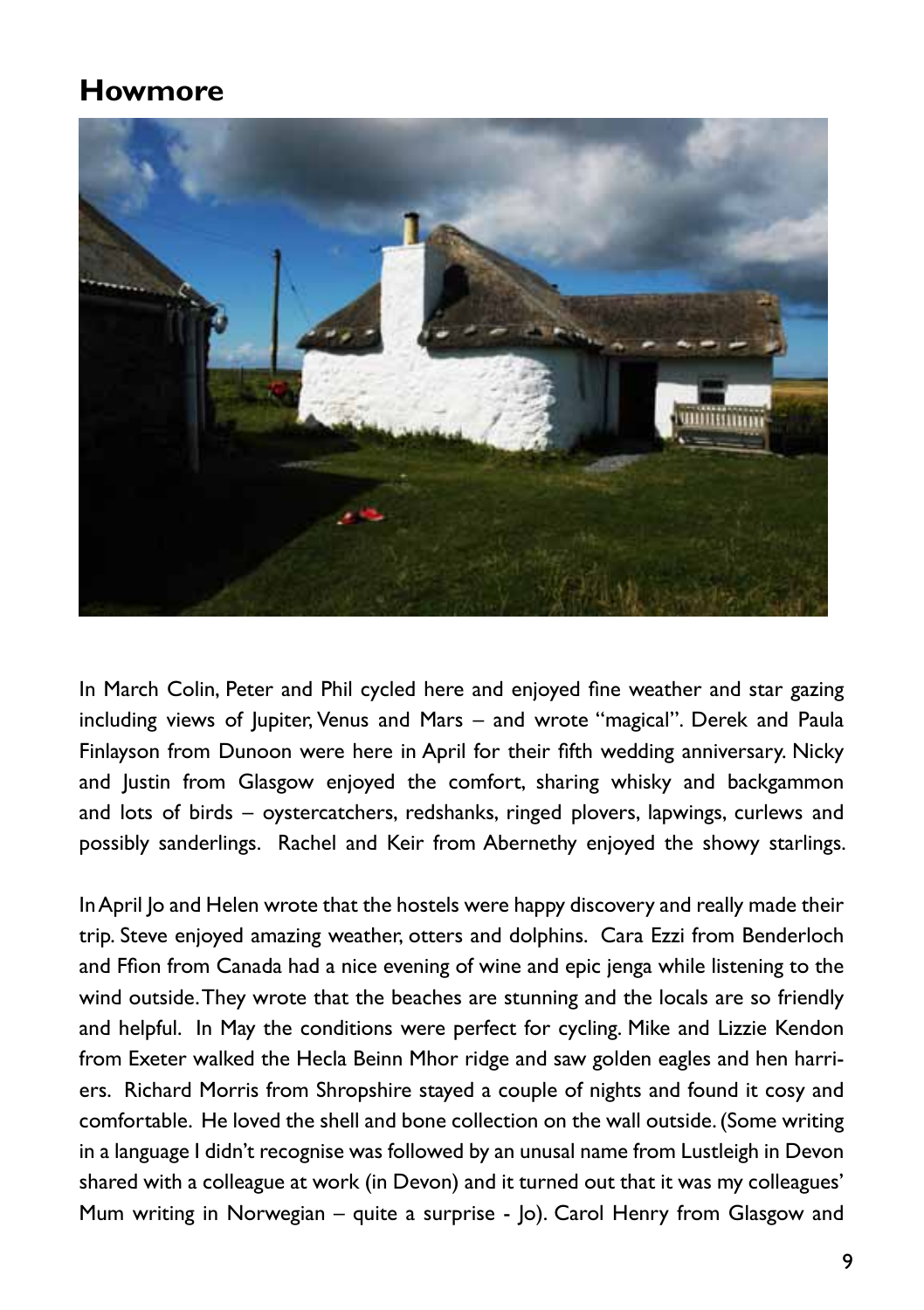## **Howmore**



In March Colin, Peter and Phil cycled here and enjoyed fine weather and star gazing including views of Jupiter, Venus and Mars – and wrote "magical". Derek and Paula Finlayson from Dunoon were here in April for their fifth wedding anniversary. Nicky and Justin from Glasgow enjoyed the comfort, sharing whisky and backgammon and lots of birds – oystercatchers, redshanks, ringed plovers, lapwings, curlews and possibly sanderlings. Rachel and Keir from Abernethy enjoyed the showy starlings.

In April Jo and Helen wrote that the hostels were happy discovery and really made their trip. Steve enjoyed amazing weather, otters and dolphins. Cara Ezzi from Benderloch and Ffion from Canada had a nice evening of wine and epic jenga while listening to the wind outside. They wrote that the beaches are stunning and the locals are so friendly and helpful. In May the conditions were perfect for cycling. Mike and Lizzie Kendon from Exeter walked the Hecla Beinn Mhor ridge and saw golden eagles and hen harriers. Richard Morris from Shropshire stayed a couple of nights and found it cosy and comfortable. He loved the shell and bone collection on the wall outside. (Some writing in a language I didn't recognise was followed by an unusal name from Lustleigh in Devon shared with a colleague at work (in Devon) and it turned out that it was my colleagues' Mum writing in Norwegian – quite a surprise - Jo). Carol Henry from Glasgow and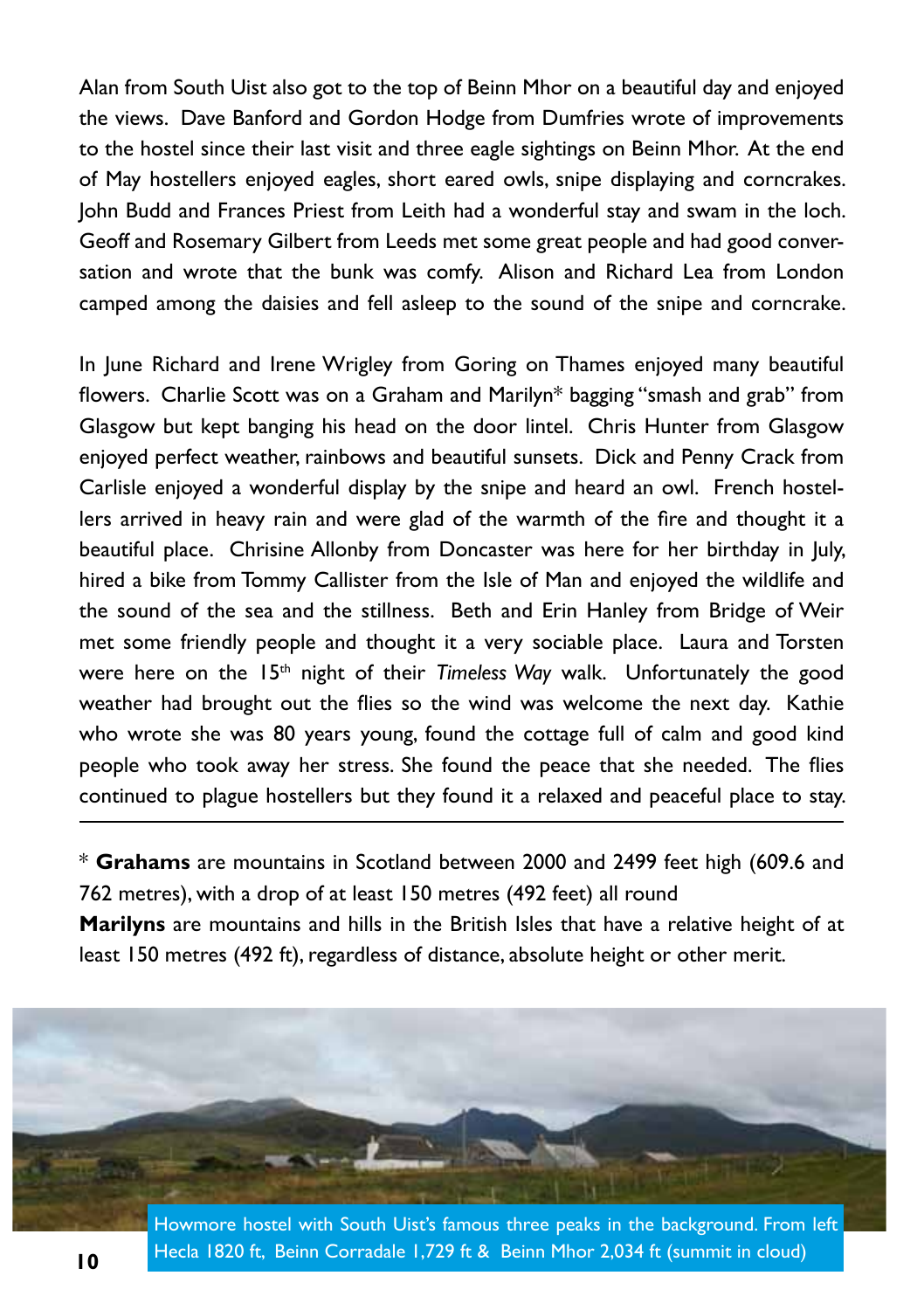Alan from South Uist also got to the top of Beinn Mhor on a beautiful day and enjoyed the views. Dave Banford and Gordon Hodge from Dumfries wrote of improvements to the hostel since their last visit and three eagle sightings on Beinn Mhor. At the end of May hostellers enjoyed eagles, short eared owls, snipe displaying and corncrakes. John Budd and Frances Priest from Leith had a wonderful stay and swam in the loch. Geoff and Rosemary Gilbert from Leeds met some great people and had good conversation and wrote that the bunk was comfy. Alison and Richard Lea from London camped among the daisies and fell asleep to the sound of the snipe and corncrake.

In June Richard and Irene Wrigley from Goring on Thames enjoyed many beautiful flowers. Charlie Scott was on a Graham and Marilyn\* bagging "smash and grab" from Glasgow but kept banging his head on the door lintel. Chris Hunter from Glasgow enjoyed perfect weather, rainbows and beautiful sunsets. Dick and Penny Crack from Carlisle enjoyed a wonderful display by the snipe and heard an owl. French hostellers arrived in heavy rain and were glad of the warmth of the fire and thought it a beautiful place. Chrisine Allonby from Doncaster was here for her birthday in July, hired a bike from Tommy Callister from the Isle of Man and enjoyed the wildlife and the sound of the sea and the stillness. Beth and Erin Hanley from Bridge of Weir met some friendly people and thought it a very sociable place. Laura and Torsten were here on the 15<sup>th</sup> night of their *Timeless Way* walk. Unfortunately the good weather had brought out the flies so the wind was welcome the next day. Kathie who wrote she was 80 years young, found the cottage full of calm and good kind people who took away her stress. She found the peace that she needed. The flies continued to plague hostellers but they found it a relaxed and peaceful place to stay.

\* **Grahams** are mountains in Scotland between 2000 and 2499 feet high (609.6 and 762 metres), with a drop of at least 150 metres (492 feet) all round

**Marilyns** are mountains and hills in the British Isles that have a relative height of at least 150 metres (492 ft), regardless of distance, absolute height or other merit.

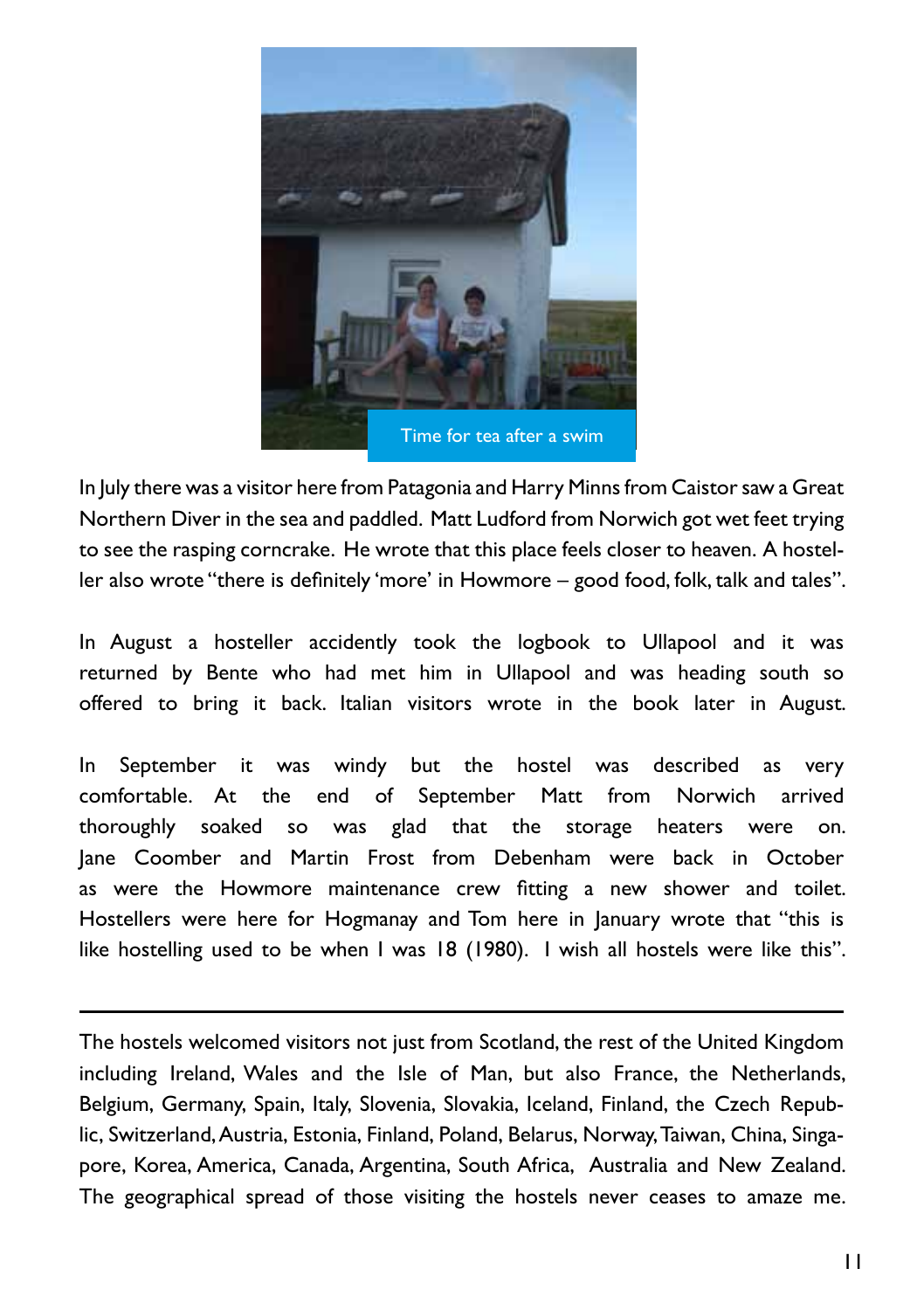

In July there was a visitor here from Patagonia and Harry Minns from Caistor saw a Great Northern Diver in the sea and paddled. Matt Ludford from Norwich got wet feet trying to see the rasping corncrake. He wrote that this place feels closer to heaven. A hosteller also wrote "there is definitely 'more' in Howmore – good food, folk, talk and tales".

In August a hosteller accidently took the logbook to Ullapool and it was returned by Bente who had met him in Ullapool and was heading south so offered to bring it back. Italian visitors wrote in the book later in August.

In September it was windy but the hostel was described as very comfortable. At the end of September Matt from Norwich arrived thoroughly soaked so was glad that the storage heaters were on. Jane Coomber and Martin Frost from Debenham were back in October as were the Howmore maintenance crew fitting a new shower and toilet. Hostellers were here for Hogmanay and Tom here in January wrote that "this is like hostelling used to be when I was 18 (1980). I wish all hostels were like this".

The hostels welcomed visitors not just from Scotland, the rest of the United Kingdom including Ireland, Wales and the Isle of Man, but also France, the Netherlands, Belgium, Germany, Spain, Italy, Slovenia, Slovakia, Iceland, Finland, the Czech Republic, Switzerland, Austria, Estonia, Finland, Poland, Belarus, Norway, Taiwan, China, Singapore, Korea, America, Canada, Argentina, South Africa, Australia and New Zealand. The geographical spread of those visiting the hostels never ceases to amaze me.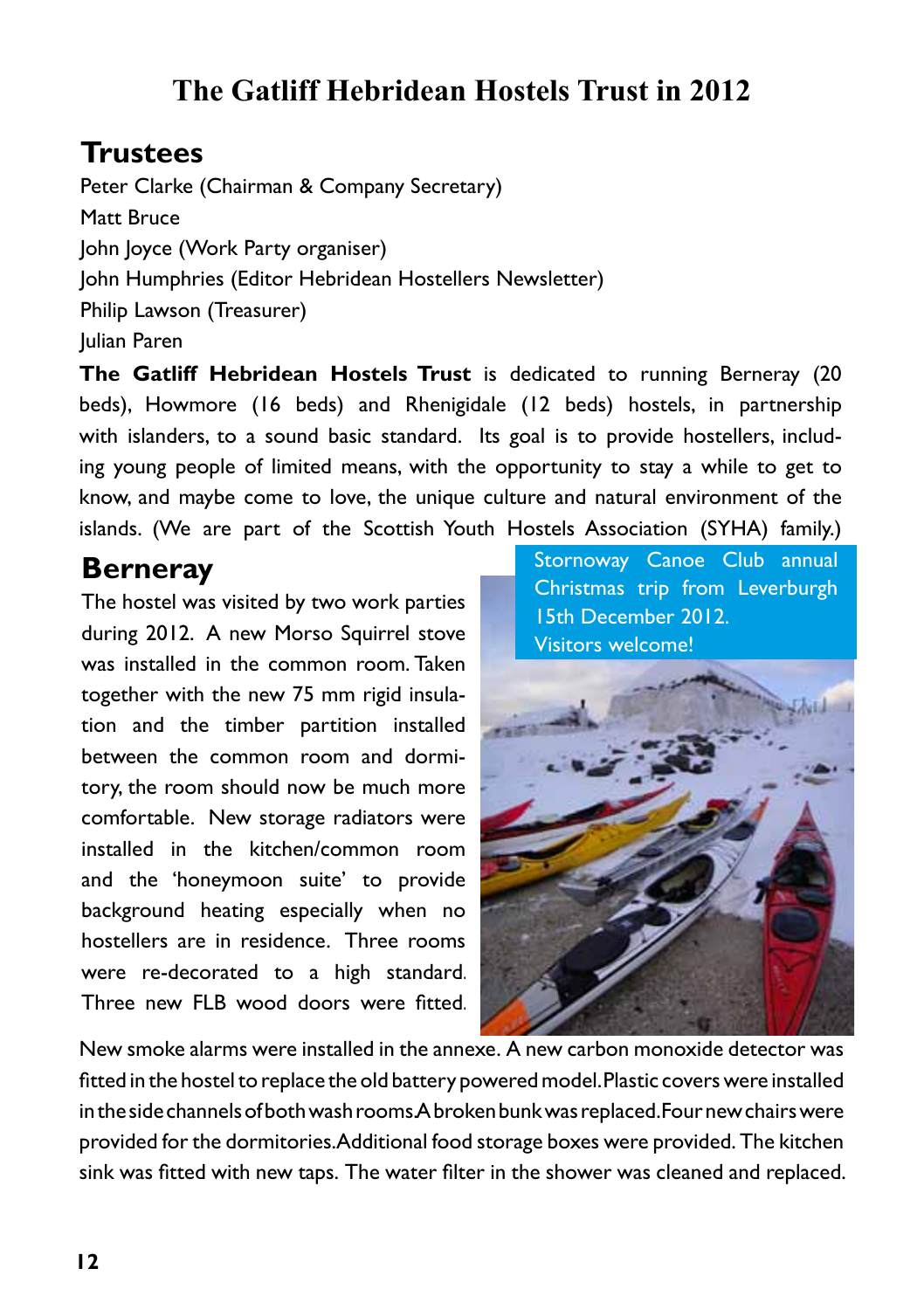## **The Gatliff Hebridean Hostels Trust in 2012**

## **Trustees**

Peter Clarke (Chairman & Company Secretary) Matt Bruce John Joyce (Work Party organiser) John Humphries (Editor Hebridean Hostellers Newsletter) Philip Lawson (Treasurer) Julian Paren

**The Gatliff Hebridean Hostels Trust** is dedicated to running Berneray (20 beds), Howmore (16 beds) and Rhenigidale (12 beds) hostels, in partnership with islanders, to a sound basic standard. Its goal is to provide hostellers, including young people of limited means, with the opportunity to stay a while to get to know, and maybe come to love, the unique culture and natural environment of the islands. (We are part of the Scottish Youth Hostels Association (SYHA) family.)

### **Berneray**

The hostel was visited by two work parties during 2012. A new Morso Squirrel stove was installed in the common room. Taken together with the new 75 mm rigid insulation and the timber partition installed between the common room and dormitory, the room should now be much more comfortable. New storage radiators were installed in the kitchen/common room and the 'honeymoon suite' to provide background heating especially when no hostellers are in residence. Three rooms were re-decorated to a high standard. Three new FLB wood doors were fitted.

Stornoway Canoe Club annual Christmas trip from Leverburgh 15th December 2012. Visitors welcome!



New smoke alarms were installed in the annexe. A new carbon monoxide detector was fitted in the hostel to replace the old battery powered model. Plastic covers were installed in the side channels of both wash rooms A broken bunk was replaced. Four new chairs were provided for the dormitories. Additional food storage boxes were provided. The kitchen sink was fitted with new taps. The water filter in the shower was cleaned and replaced.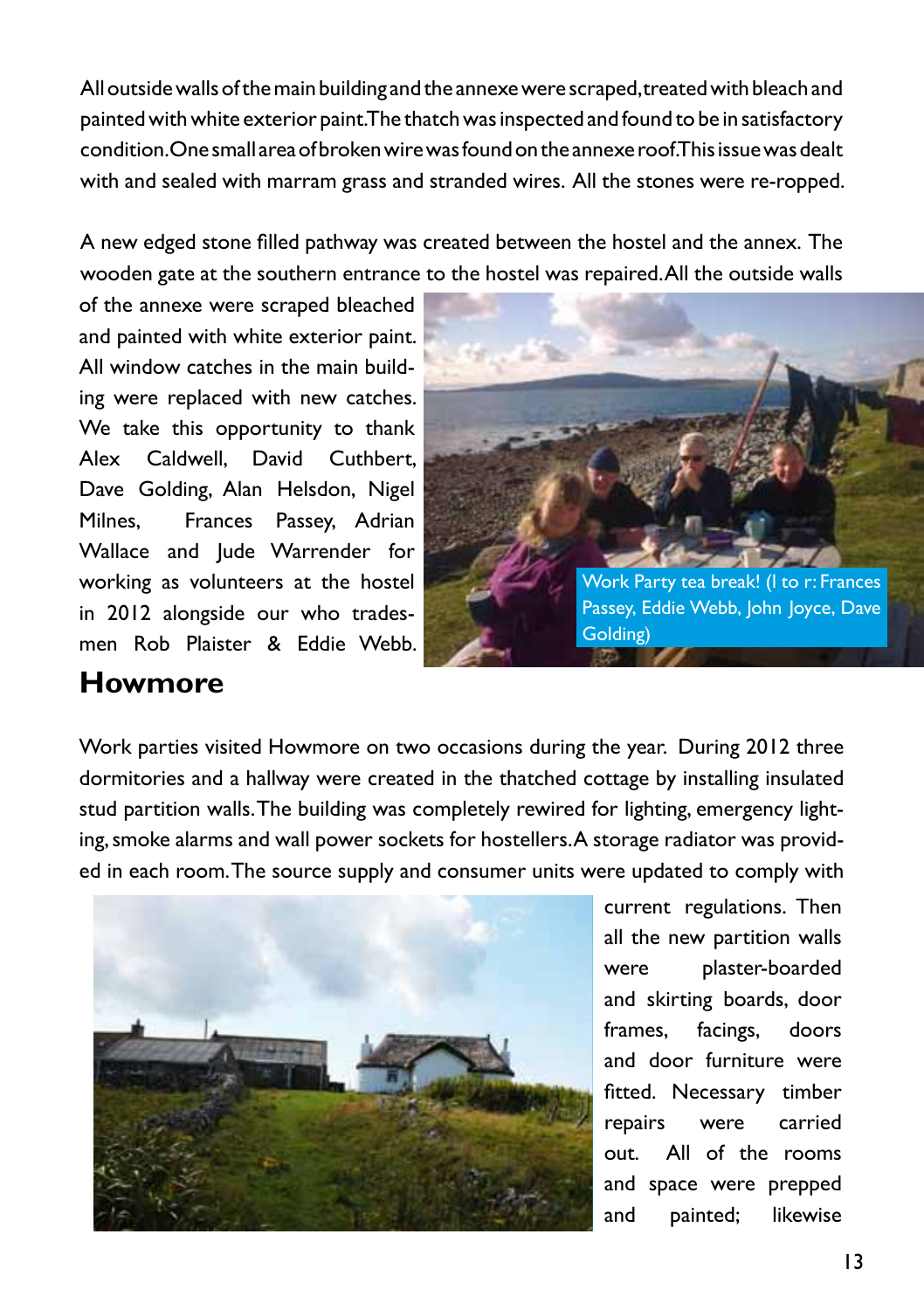All outside walls of the main building and the annexe were scraped, treated with bleach and painted with white exterior paint. The thatch was inspected and found to be in satisfactory condition. One small area of broken wire was found on the annexe roof. This issue was dealt with and sealed with marram grass and stranded wires. All the stones were re-ropped.

A new edged stone filled pathway was created between the hostel and the annex. The wooden gate at the southern entrance to the hostel was repaired. All the outside walls

We take this opportunity to thank Alex Caldwell, David Cuthbert, Dave Golding, Alan Helsdon, Nigel Milnes, Frances Passey, Adrian Wallace and Jude Warrender for working as volunteers at the hostel in 2012 alongside our who tradesmen Rob Plaister & Eddie Webb. of the annexe were scraped bleached and painted with white exterior paint. All window catches in the main building were replaced with new catches.



#### **Howmore**

Work parties visited Howmore on two occasions during the year. During 2012 three dormitories and a hallway were created in the thatched cottage by installing insulated stud partition walls. The building was completely rewired for lighting, emergency lighting, smoke alarms and wall power sockets for hostellers. A storage radiator was provided in each room. The source supply and consumer units were updated to comply with



current regulations. Then all the new partition walls were plaster-boarded and skirting boards, door frames, facings, doors and door furniture were fitted. Necessary timber repairs were carried out. All of the rooms and space were prepped and painted; likewise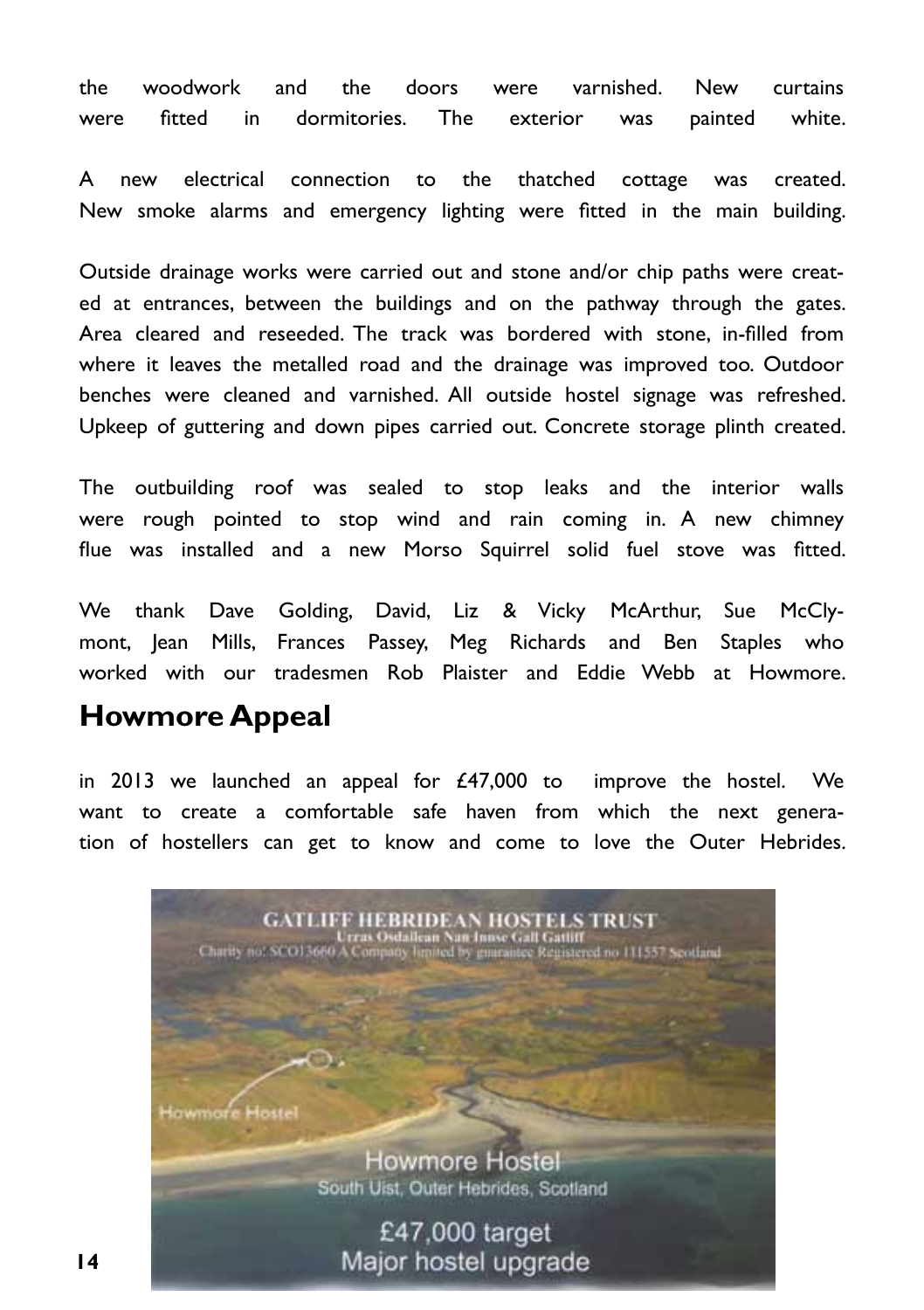the woodwork and the doors were varnished. New curtains were fitted in dormitories. The exterior was painted white.

A new electrical connection to the thatched cottage was created. New smoke alarms and emergency lighting were fitted in the main building.

Outside drainage works were carried out and stone and/or chip paths were created at entrances, between the buildings and on the pathway through the gates. Area cleared and reseeded. The track was bordered with stone, in-filled from where it leaves the metalled road and the drainage was improved too. Outdoor benches were cleaned and varnished. All outside hostel signage was refreshed. Upkeep of guttering and down pipes carried out. Concrete storage plinth created.

The outbuilding roof was sealed to stop leaks and the interior walls were rough pointed to stop wind and rain coming in. A new chimney flue was installed and a new Morso Squirrel solid fuel stove was fitted.

We thank Dave Golding, David, Liz & Vicky McArthur, Sue McClymont, Jean Mills, Frances Passey, Meg Richards and Ben Staples who worked with our tradesmen Rob Plaister and Eddie Webb at Howmore.

#### **Howmore Appeal**

in 2013 we launched an appeal for  $£47,000$  to improve the hostel. We want to create a comfortable safe haven from which the next generation of hostellers can get to know and come to love the Outer Hebrides.

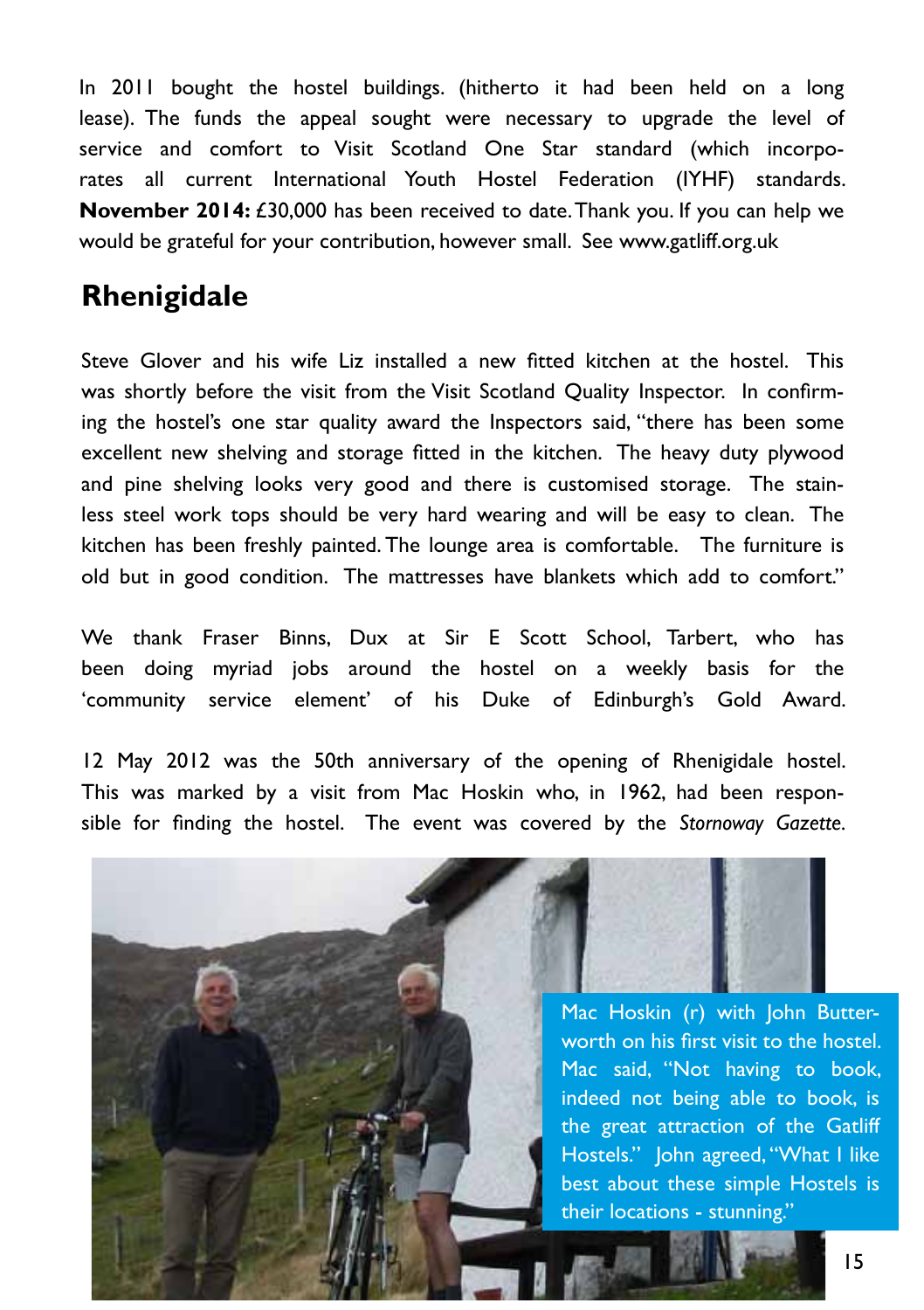In 2011 bought the hostel buildings. (hitherto it had been held on a long lease). The funds the appeal sought were necessary to upgrade the level of service and comfort to Visit Scotland One Star standard (which incorporates all current International Youth Hostel Federation (IYHF) standards. **November 2014:** £30,000 has been received to date. Thank you. If you can help we would be grateful for your contribution, however small. See www.gatliff.org.uk

## **Rhenigidale**

Steve Glover and his wife Liz installed a new fitted kitchen at the hostel. This was shortly before the visit from the Visit Scotland Quality Inspector. In confirming the hostel's one star quality award the Inspectors said, "there has been some excellent new shelving and storage fitted in the kitchen. The heavy duty plywood and pine shelving looks very good and there is customised storage. The stainless steel work tops should be very hard wearing and will be easy to clean. The kitchen has been freshly painted. The lounge area is comfortable. The furniture is old but in good condition. The mattresses have blankets which add to comfort."

We thank Fraser Binns, Dux at Sir E Scott School, Tarbert, who has been doing myriad jobs around the hostel on a weekly basis for the 'community service element' of his Duke of Edinburgh's Gold Award.

12 May 2012 was the 50th anniversary of the opening of Rhenigidale hostel. This was marked by a visit from Mac Hoskin who, in 1962, had been responsible for finding the hostel. The event was covered by the *Stornoway Gazette.*